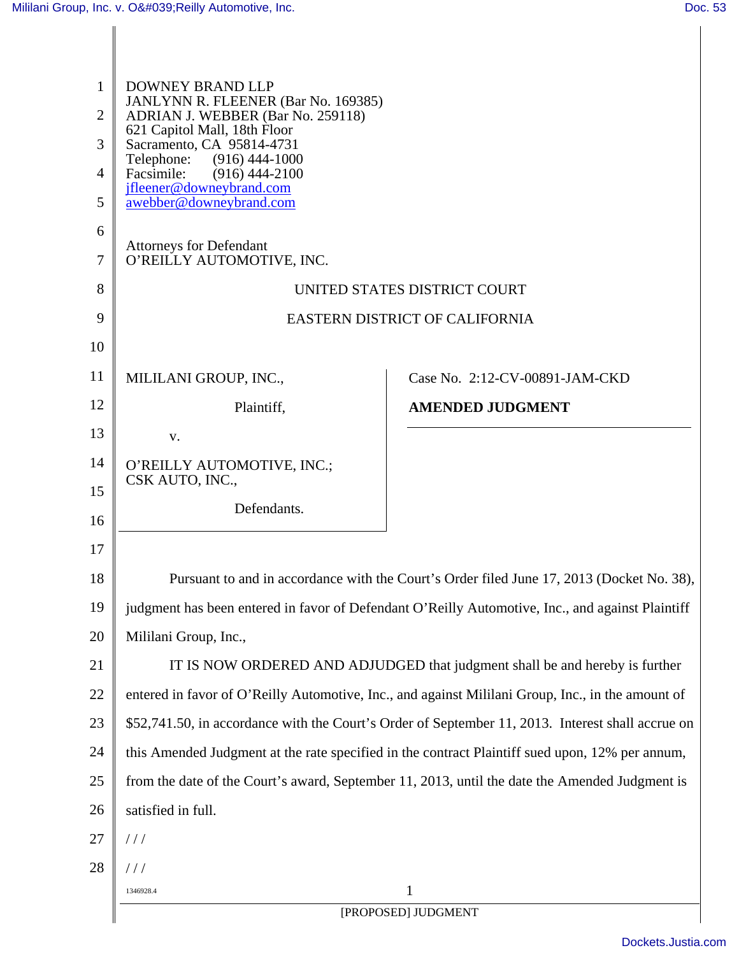| $\mathbf{1}$<br>$\overline{2}$<br>3<br>$\overline{4}$<br>5<br>6<br>7 | DOWNEY BRAND LLP<br>JANLYNN R. FLEENER (Bar No. 169385)<br>ADRIAN J. WEBBER (Bar No. 259118)<br>621 Capitol Mall, 18th Floor<br>Sacramento, CA 95814-4731<br>$(916)$ 444-1000<br>Telephone:<br>Facsimile:<br>$(916)$ 444-2100<br>ifleener@downeybrand.com<br>awebber@downeybrand.com<br><b>Attorneys for Defendant</b><br>O'REILLY AUTOMOTIVE, INC. |                                |  |
|----------------------------------------------------------------------|-----------------------------------------------------------------------------------------------------------------------------------------------------------------------------------------------------------------------------------------------------------------------------------------------------------------------------------------------------|--------------------------------|--|
| 8                                                                    | UNITED STATES DISTRICT COURT                                                                                                                                                                                                                                                                                                                        |                                |  |
| 9                                                                    | EASTERN DISTRICT OF CALIFORNIA                                                                                                                                                                                                                                                                                                                      |                                |  |
| 10                                                                   |                                                                                                                                                                                                                                                                                                                                                     |                                |  |
| 11                                                                   | MILILANI GROUP, INC.,                                                                                                                                                                                                                                                                                                                               | Case No. 2:12-CV-00891-JAM-CKD |  |
| 12                                                                   | Plaintiff,                                                                                                                                                                                                                                                                                                                                          | <b>AMENDED JUDGMENT</b>        |  |
| 13                                                                   | V.                                                                                                                                                                                                                                                                                                                                                  |                                |  |
| 14                                                                   | O'REILLY AUTOMOTIVE, INC.;                                                                                                                                                                                                                                                                                                                          |                                |  |
| 15                                                                   | CSK AUTO, INC.,                                                                                                                                                                                                                                                                                                                                     |                                |  |
| 16                                                                   | Defendants.                                                                                                                                                                                                                                                                                                                                         |                                |  |
| 17                                                                   |                                                                                                                                                                                                                                                                                                                                                     |                                |  |
| 18                                                                   | Pursuant to and in accordance with the Court's Order filed June 17, 2013 (Docket No. 38),                                                                                                                                                                                                                                                           |                                |  |
| 19                                                                   | judgment has been entered in favor of Defendant O'Reilly Automotive, Inc., and against Plaintiff                                                                                                                                                                                                                                                    |                                |  |
| 20                                                                   | Mililani Group, Inc.,                                                                                                                                                                                                                                                                                                                               |                                |  |
| 21                                                                   | IT IS NOW ORDERED AND ADJUDGED that judgment shall be and hereby is further                                                                                                                                                                                                                                                                         |                                |  |
| 22                                                                   | entered in favor of O'Reilly Automotive, Inc., and against Mililani Group, Inc., in the amount of                                                                                                                                                                                                                                                   |                                |  |
| 23                                                                   | \$52,741.50, in accordance with the Court's Order of September 11, 2013. Interest shall accrue on                                                                                                                                                                                                                                                   |                                |  |
| 24                                                                   | this Amended Judgment at the rate specified in the contract Plaintiff sued upon, 12% per annum,                                                                                                                                                                                                                                                     |                                |  |
| 25                                                                   | from the date of the Court's award, September 11, 2013, until the date the Amended Judgment is                                                                                                                                                                                                                                                      |                                |  |
| 26                                                                   | satisfied in full.                                                                                                                                                                                                                                                                                                                                  |                                |  |
| 27                                                                   | //                                                                                                                                                                                                                                                                                                                                                  |                                |  |
| 28                                                                   | $\frac{1}{2}$                                                                                                                                                                                                                                                                                                                                       |                                |  |
|                                                                      | 1<br>1346928.4                                                                                                                                                                                                                                                                                                                                      |                                |  |
|                                                                      | [PROPOSED] JUDGMENT                                                                                                                                                                                                                                                                                                                                 |                                |  |